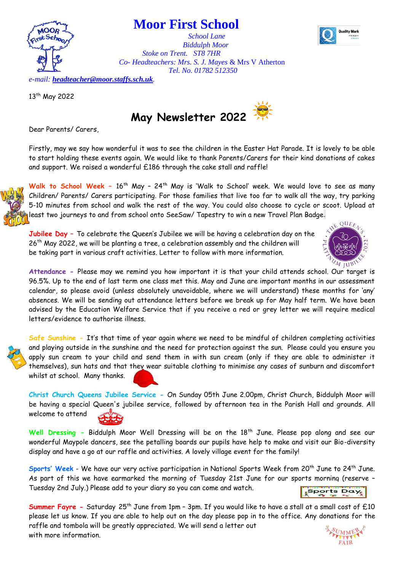ality Mark



13<sup>th</sup> May 2022



 *Biddulph Moor*

*Tel. No. 01782 512350*

Dear Parents/ Carers,

Firstly, may we say how wonderful it was to see the children in the Easter Hat Parade. It is lovely to be able to start holding these events again. We would like to thank Parents/Carers for their kind donations of cakes and support. We raised a wonderful £186 through the cake stall and raffle!

**Walk to School Week –** 16th May – 24th May is 'Walk to School' week. We would love to see as many Children/ Parents/ Carers participating. For those families that live too far to walk all the way, try parking 5-10 minutes from school and walk the rest of the way. You could also choose to cycle or scoot. Upload at least two journeys to and from school onto SeeSaw/ Tapestry to win a new Travel Plan Badge.

**Jubilee Day –** To celebrate the Queen's Jubilee we will be having a celebration day on the 26th May 2022, we will be planting a tree, a celebration assembly and the children will be taking part in various craft activities. Letter to follow with more information.



**Attendance -** Please may we remind you how important it is that your child attends school. Our target is 96.5%. Up to the end of last term one class met this. May and June are important months in our assessment calendar, so please avoid (unless absolutely unavoidable, where we will understand) these months for 'any' absences. We will be sending out attendance letters before we break up for May half term. We have been advised by the Education Welfare Service that if you receive a red or grey letter we will require medical letters/evidence to authorise illness.



**Safe Sunshine -** It's that time of year again where we need to be mindful of children completing activities and playing outside in the sunshine and the need for protection against the sun. Please could you ensure you apply sun cream to your child and send them in with sun cream (only if they are able to administer it themselves), sun hats and that they wear suitable clothing to minimise any cases of sunburn and discomfort whilst at school. Many thanks.

**Christ Church Queens Jubilee Service -** On Sunday 05th June 2.00pm, Christ Church, Biddulph Moor will be having a special Queen's jubilee service, followed by afternoon tea in the Parish Hall and grounds. All welcome to attend

Well Dressing - Biddulph Moor Well Dressing will be on the 18<sup>th</sup> June. Please pop along and see our wonderful Maypole dancers, see the petalling boards our pupils have help to make and visit our Bio-diversity display and have a go at our raffle and activities. A lovely village event for the family!

Sports' Week - We have our very active participation in National Sports Week from 20<sup>th</sup> June to 24<sup>th</sup> June. As part of this we have earmarked the morning of Tuesday 21st June for our sports morning (reserve – Tuesday 2nd July.) Please add to your diary so you can come and watch.

**Sports Day** 

**Summer Fayre -** Saturday 25th June from 1pm – 3pm. If you would like to have a stall at a small cost of £10 please let us know. If you are able to help out on the day please pop in to the office. Any donations for the raffle and tombola will be greatly appreciated. We will send a letter out with more information.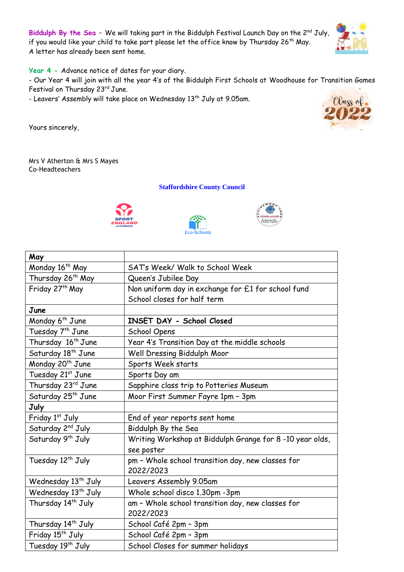Biddulph By the Sea - We will taking part in the Biddulph Festival Launch Day on the 2<sup>nd</sup> July, if you would like your child to take part please let the office know by Thursday 26th May. A letter has already been sent home.

**Year 4 -** Advance notice of dates for your diary.

- Our Year 4 will join with all the year 4's of the Biddulph First Schools at Woodhouse for Transition Games Festival on Thursday 23rd June.

- Leavers' Assembly will take place on Wednesday 13<sup>th</sup> July at 9.05am.

Yours sincerely,



Mrs V Atherton & Mrs S Mayes Co-Headteachers

**Staffordshire County Council**







| May                             |                                                                       |
|---------------------------------|-----------------------------------------------------------------------|
| Monday 16 <sup>th</sup> May     | SAT's Week/ Walk to School Week                                       |
| Thursday 26 <sup>th</sup> May   | Queen's Jubilee Day                                                   |
| Friday 27 <sup>th</sup> May     | Non uniform day in exchange for £1 for school fund                    |
|                                 | School closes for half term                                           |
| June                            |                                                                       |
| Monday 6 <sup>th</sup> June     | INSET DAY - School Closed                                             |
| Tuesday 7 <sup>th</sup> June    | School Opens                                                          |
| Thursday 16 <sup>th</sup> June  | Year 4's Transition Day at the middle schools                         |
| Saturday 18 <sup>th</sup> June  | Well Dressing Biddulph Moor                                           |
| Monday 20 <sup>th</sup> June    | Sports Week starts                                                    |
| Tuesday 21st June               | Sports Day am                                                         |
| Thursday 23rd June              | Sapphire class trip to Potteries Museum                               |
| Saturday 25 <sup>th</sup> June  | Moor First Summer Fayre 1pm - 3pm                                     |
| July                            |                                                                       |
| Friday 1st July                 | End of year reports sent home                                         |
| Saturday 2 <sup>nd</sup> July   | Biddulph By the Sea                                                   |
| Saturday 9 <sup>th</sup> July   | Writing Workshop at Biddulph Grange for 8-10 year olds,<br>see poster |
| Tuesday 12 <sup>th</sup> July   | pm - Whole school transition day, new classes for<br>2022/2023        |
| Wednesday 13 <sup>th</sup> July | Leavers Assembly 9.05am                                               |
| Wednesday 13 <sup>th</sup> July | Whole school disco 1.30pm -3pm                                        |
| Thursday 14 <sup>th</sup> July  | am - Whole school transition day, new classes for                     |
|                                 | 2022/2023                                                             |
| Thursday 14 <sup>th</sup> July  | School Café 2pm - 3pm                                                 |
| Friday 15 <sup>th</sup> July    | School Café 2pm - 3pm                                                 |
| Tuesday 19 <sup>th</sup> July   | School Closes for summer holidays                                     |